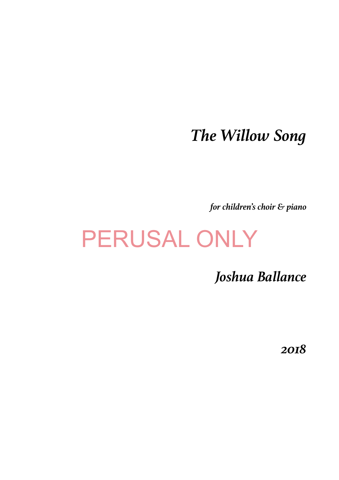## *The Willow Song*

*for children's choir & piano*

## PERUSAL ONLY

*Joshua Ballance* 

*2018*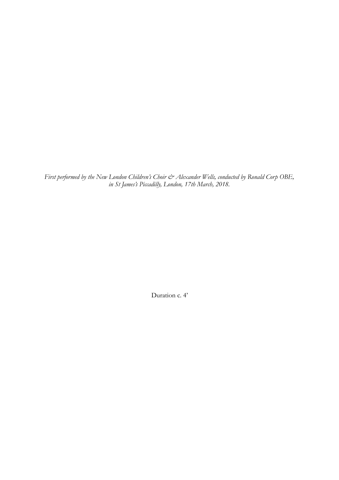First performed by the New London Children's Choir & Alexander Wells, conducted by Ronald Corp OBE, *in St James's Piccadilly, London, 17th March, 2018.* 

Duration c. 4'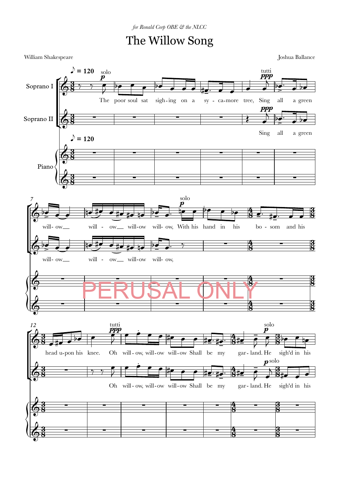## The Willow Song

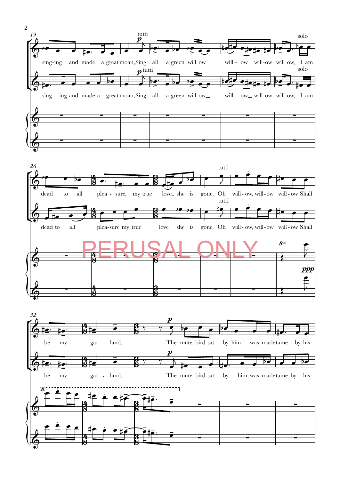



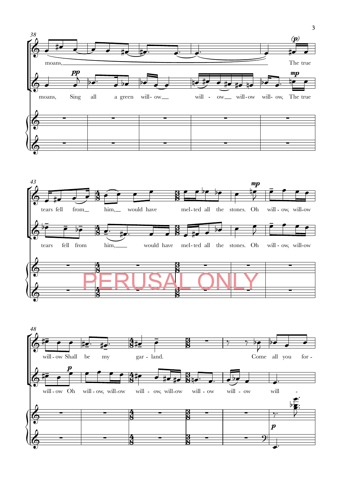



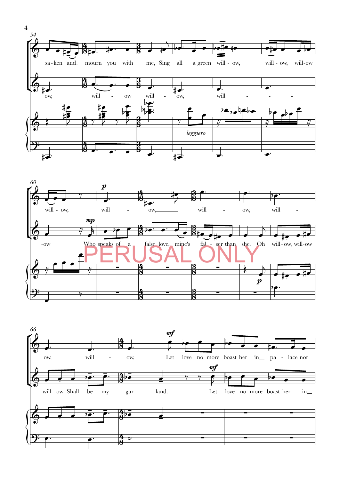



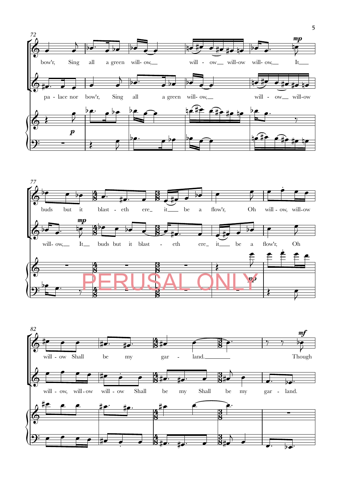



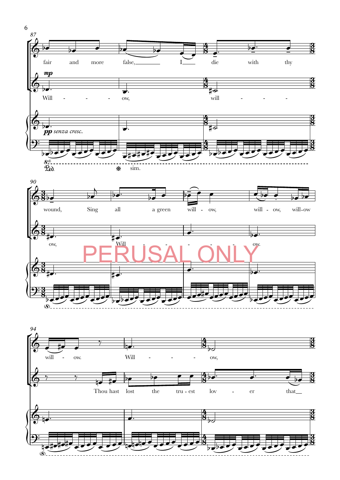

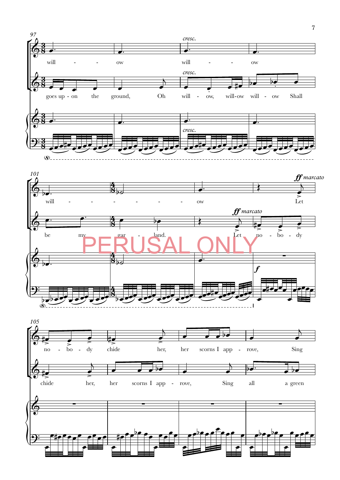



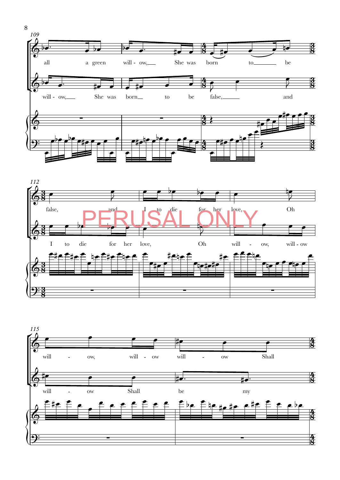





 $\bf 8$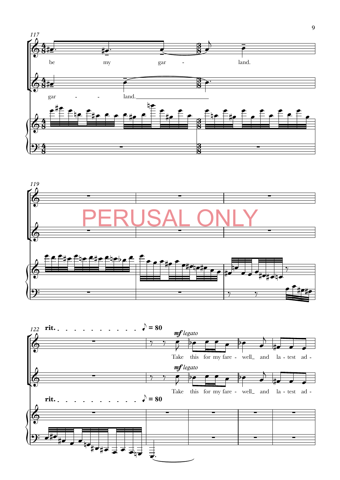